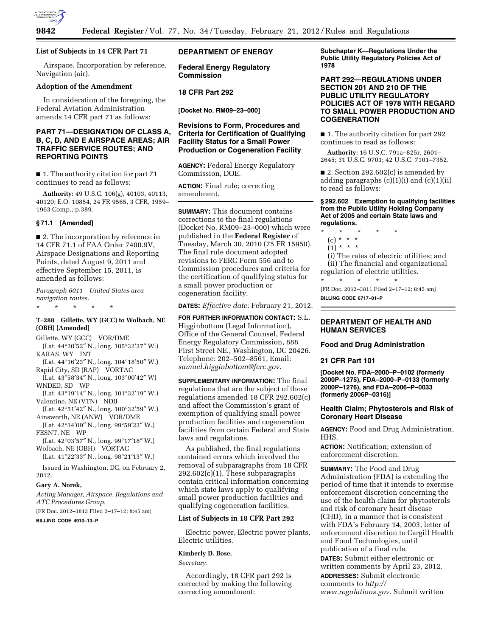

# **List of Subjects in 14 CFR Part 71**

Airspace, Incorporation by reference, Navigation (air).

#### **Adoption of the Amendment**

In consideration of the foregoing, the Federal Aviation Administration amends 14 CFR part 71 as follows:

# **PART 71—DESIGNATION OF CLASS A, B, C, D, AND E AIRSPACE AREAS; AIR TRAFFIC SERVICE ROUTES; AND REPORTING POINTS**

■ 1. The authority citation for part 71 continues to read as follows:

**Authority:** 49 U.S.C. 106(g), 40103, 40113, 40120; E.O. 10854, 24 FR 9565, 3 CFR, 1959– 1963 Comp., p.389.

### **§ 71.1 [Amended]**

■ 2. The incorporation by reference in 14 CFR 71.1 of FAA Order 7400.9V, Airspace Designations and Reporting Points, dated August 9, 2011 and effective September 15, 2011, is amended as follows:

*Paragraph 6011 United States area navigation routes.* 

\* \* \* \* \*

#### **T–288 Gillette, WY (GCC) to Wolbach, NE (OBH) [Amended]**

Gillette, WY (GCC) VOR/DME (Lat. 44°20′52″ N., long. 105°32′37″ W.)

- KARAS, WY INT
- (Lat. 44°16′23″ N., long. 104°18′50″ W.) Rapid City, SD (RAP) VORTAC
- (Lat. 43°58′34″ N., long. 103°00′42″ W) WNDED, SD WP
- (Lat. 43°19′14″ N., long. 101°32′19″ W.) Valentine, NE (VTN) NDB
- (Lat. 42°51′42″ N., long. 100°32′59″ W.) Ainsworth, NE (ANW) VOR/DME

(Lat. 42°34′09″ N., long. 99°59′23″ W.) FESNT, NE WP

(Lat. 42°03′57″ N., long. 99°17′18″ W.) Wolbach, NE (OBH) VORTAC

(Lat. 41°22′33″ N., long. 98°21′13″ W.)

Issued in Washington, DC, on February 2, 2012.

# **Gary A. Norek,**

*Acting Manager, Airspace, Regulations and ATC Procedures Group.* 

[FR Doc. 2012–3813 Filed 2–17–12; 8:45 am]

**BILLING CODE 4910–13–P** 

# **DEPARTMENT OF ENERGY**

**Federal Energy Regulatory Commission** 

# **18 CFR Part 292**

**[Docket No. RM09–23–000]** 

# **Revisions to Form, Procedures and Criteria for Certification of Qualifying Facility Status for a Small Power Production or Cogeneration Facility**

**AGENCY:** Federal Energy Regulatory Commission, DOE.

**ACTION:** Final rule; correcting amendment.

**SUMMARY:** This document contains corrections to the final regulations (Docket No. RM09–23–000) which were published in the **Federal Register** of Tuesday, March 30, 2010 (75 FR 15950). The final rule document adopted revisions to FERC Form 556 and to Commission procedures and criteria for the certification of qualifying status for a small power production or cogeneration facility.

**DATES:** *Effective date:* February 21, 2012.

**FOR FURTHER INFORMATION CONTACT:** S.L. Higginbottom (Legal Information), Office of the General Counsel, Federal Energy Regulatory Commission, 888 First Street NE., Washington, DC 20426. Telephone: 202–502–8561, Email: *[samuel.higginbottom@ferc.gov.](mailto:samuel.higginbottom@ferc.gov)* 

**SUPPLEMENTARY INFORMATION:** The final regulations that are the subject of these regulations amended 18 CFR 292.602(c) and affect the Commission's grant of exemption of qualifying small power production facilities and cogeneration facilities from certain Federal and State laws and regulations.

As published, the final regulations contained errors which involved the removal of subparagraphs from 18 CFR 292.602(c)(1). These subparagraphs contain critical information concerning which state laws apply to qualifying small power production facilities and qualifying cogeneration facilities.

#### **List of Subjects in 18 CFR Part 292**

Electric power, Electric power plants, Electric utilities.

#### **Kimberly D. Bose,**

*Secretary.* 

Accordingly, 18 CFR part 292 is corrected by making the following correcting amendment:

**Subchapter K—Regulations Under the Public Utility Regulatory Policies Act of 1978** 

# **PART 292—REGULATIONS UNDER SECTION 201 AND 210 OF THE PUBLIC UTILITY REGULATORY POLICIES ACT OF 1978 WITH REGARD TO SMALL POWER PRODUCTION AND COGENERATION**

■ 1. The authority citation for part 292 continues to read as follows:

**Authority:** 16 U.S.C. 791a–825r, 2601– 2645; 31 U.S.C. 9701; 42 U.S.C. 7101–7352.

■ 2. Section 292.602(c) is amended by adding paragraphs  $(c)(1)(i)$  and  $(c)(1)(ii)$ to read as follows:

#### **§ 292.602 Exemption to qualifying facilities from the Public Utility Holding Company Act of 2005 and certain State laws and regulations.**

- \* \* \* \* \*
	- (c) \* \* \*
	- $(1) * * * *$

(i) The rates of electric utilities; and (ii) The financial and organizational regulation of electric utilities.

\* \* \* \* \* [FR Doc. 2012–3811 Filed 2–17–12; 8:45 am] **BILLING CODE 6717–01–P** 

# **DEPARTMENT OF HEALTH AND HUMAN SERVICES**

**Food and Drug Administration** 

#### **21 CFR Part 101**

**[Docket No. FDA–2000–P–0102 (formerly 2000P–1275), FDA–2000–P–0133 (formerly 2000P–1276), and FDA–2006–P–0033 (formerly 2006P–0316)]** 

#### **Health Claim; Phytosterols and Risk of Coronary Heart Disease**

**AGENCY:** Food and Drug Administration, HHS.

**ACTION:** Notification; extension of enforcement discretion.

**SUMMARY:** The Food and Drug Administration (FDA) is extending the period of time that it intends to exercise enforcement discretion concerning the use of the health claim for phytosterols and risk of coronary heart disease (CHD), in a manner that is consistent with FDA's February 14, 2003, letter of enforcement discretion to Cargill Health and Food Technologies, until publication of a final rule. **DATES:** Submit either electronic or

written comments by April 23, 2012. **ADDRESSES:** Submit electronic

comments to *[http://](http://www.regulations.gov)  [www.regulations.gov.](http://www.regulations.gov)* Submit written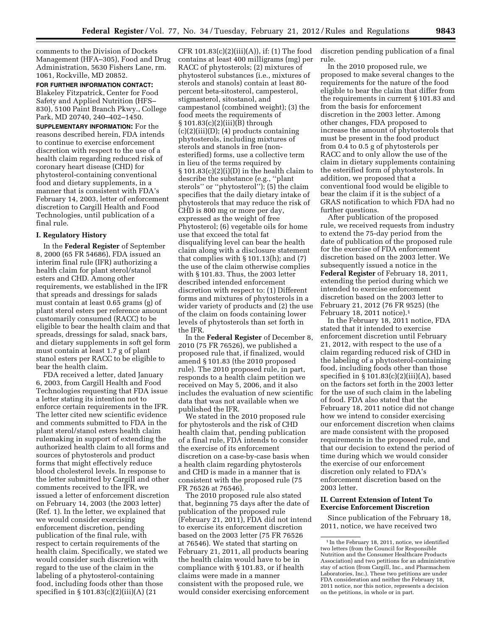comments to the Division of Dockets Management (HFA–305), Food and Drug Administration, 5630 Fishers Lane, rm. 1061, Rockville, MD 20852.

**FOR FURTHER INFORMATION CONTACT:**  Blakeley Fitzpatrick, Center for Food Safety and Applied Nutrition (HFS– 830), 5100 Paint Branch Pkwy., College Park, MD 20740, 240–402–1450.

**SUPPLEMENTARY INFORMATION:** For the reasons described herein, FDA intends to continue to exercise enforcement discretion with respect to the use of a health claim regarding reduced risk of coronary heart disease (CHD) for phytosterol-containing conventional food and dietary supplements, in a manner that is consistent with FDA's February 14, 2003, letter of enforcement discretion to Cargill Health and Food Technologies, until publication of a final rule.

### **I. Regulatory History**

In the **Federal Register** of September 8, 2000 (65 FR 54686), FDA issued an interim final rule (IFR) authorizing a health claim for plant sterol/stanol esters and CHD. Among other requirements, we established in the IFR that spreads and dressings for salads must contain at least 0.65 grams (g) of plant sterol esters per reference amount customarily consumed (RACC) to be eligible to bear the health claim and that spreads, dressings for salad, snack bars, and dietary supplements in soft gel form must contain at least 1.7 g of plant stanol esters per RACC to be eligible to bear the health claim.

FDA received a letter, dated January 6, 2003, from Cargill Health and Food Technologies requesting that FDA issue a letter stating its intention not to enforce certain requirements in the IFR. The letter cited new scientific evidence and comments submitted to FDA in the plant sterol/stanol esters health claim rulemaking in support of extending the authorized health claim to all forms and sources of phytosterols and product forms that might effectively reduce blood cholesterol levels. In response to the letter submitted by Cargill and other comments received to the IFR, we issued a letter of enforcement discretion on February 14, 2003 (the 2003 letter) (Ref. 1). In the letter, we explained that we would consider exercising enforcement discretion, pending publication of the final rule, with respect to certain requirements of the health claim. Specifically, we stated we would consider such discretion with regard to the use of the claim in the labeling of a phytosterol-containing food, including foods other than those specified in § 101.83(c)(2)(iii)(A) (21

CFR  $101.83(c)(2)(iii)(A))$ , if: (1) The food contains at least 400 milligrams (mg) per RACC of phytosterols; (2) mixtures of phytosterol substances (i.e., mixtures of sterols and stanols) contain at least 80 percent beta-sitosterol, campesterol, stigmasterol, sitostanol, and campestanol (combined weight); (3) the food meets the requirements of  $§ 101.83(c)(2)(iii)(B)$  through  $(c)(2)(iii)(D);$  (4) products containing phytosterols, including mixtures of sterols and stanols in free (nonesterified) forms, use a collective term in lieu of the terms required by  $\S 101.83(c)(2)(i)(D)$  in the health claim to describe the substance (e.g., ''plant sterols'' or ''phytosterol''); (5) the claim specifies that the daily dietary intake of phytosterols that may reduce the risk of CHD is 800 mg or more per day, expressed as the weight of free Phytosterol; (6) vegetable oils for home use that exceed the total fat disqualifying level can bear the health claim along with a disclosure statement that complies with  $\S 101.13(h)$ ; and (7) the use of the claim otherwise complies with § 101.83. Thus, the 2003 letter described intended enforcement discretion with respect to: (1) Different forms and mixtures of phytosterols in a wider variety of products and (2) the use of the claim on foods containing lower levels of phytosterols than set forth in the IFR.

In the **Federal Register** of December 8, 2010 (75 FR 76526), we published a proposed rule that, if finalized, would amend § 101.83 (the 2010 proposed rule). The 2010 proposed rule, in part, responds to a health claim petition we received on May 5, 2006, and it also includes the evaluation of new scientific data that was not available when we published the IFR.

We stated in the 2010 proposed rule for phytosterols and the risk of CHD health claim that, pending publication of a final rule, FDA intends to consider the exercise of its enforcement discretion on a case-by-case basis when a health claim regarding phytosterols and CHD is made in a manner that is consistent with the proposed rule (75 FR 76526 at 76546).

The 2010 proposed rule also stated that, beginning 75 days after the date of publication of the proposed rule (February 21, 2011), FDA did not intend to exercise its enforcement discretion based on the 2003 letter (75 FR 76526 at 76546). We stated that starting on February 21, 2011, all products bearing the health claim would have to be in compliance with § 101.83, or if health claims were made in a manner consistent with the proposed rule, we would consider exercising enforcement

discretion pending publication of a final rule.

In the 2010 proposed rule, we proposed to make several changes to the requirements for the nature of the food eligible to bear the claim that differ from the requirements in current § 101.83 and from the basis for enforcement discretion in the 2003 letter. Among other changes, FDA proposed to increase the amount of phytosterols that must be present in the food product from 0.4 to 0.5 g of phytosterols per RACC and to only allow the use of the claim in dietary supplements containing the esterified form of phytosterols. In addition, we proposed that a conventional food would be eligible to bear the claim if it is the subject of a GRAS notification to which FDA had no further questions.

After publication of the proposed rule, we received requests from industry to extend the 75-day period from the date of publication of the proposed rule for the exercise of FDA enforcement discretion based on the 2003 letter. We subsequently issued a notice in the **Federal Register** of February 18, 2011, extending the period during which we intended to exercise enforcement discretion based on the 2003 letter to February 21, 2012 (76 FR 9525) (the February 18, 2011 notice).1

In the February 18, 2011 notice, FDA stated that it intended to exercise enforcement discretion until February 21, 2012, with respect to the use of a claim regarding reduced risk of CHD in the labeling of a phytosterol-containing food, including foods other than those specified in § 101.83(c)(2)(iii)(A), based on the factors set forth in the 2003 letter for the use of such claim in the labeling of food. FDA also stated that the February 18, 2011 notice did not change how we intend to consider exercising our enforcement discretion when claims are made consistent with the proposed requirements in the proposed rule, and that our decision to extend the period of time during which we would consider the exercise of our enforcement discretion only related to FDA's enforcement discretion based on the 2003 letter.

# **II. Current Extension of Intent To Exercise Enforcement Discretion**

Since publication of the February 18, 2011, notice, we have received two

<sup>&</sup>lt;sup>1</sup> In the February 18, 2011, notice, we identified two letters (from the Council for Responsible Nutrition and the Consumer Healthcare Products Association) and two petitions for an administrative stay of action (from Cargill, Inc., and Pharmachem Laboratories, Inc.). These two petitions are under FDA consideration and neither the February 18, 2011 notice, nor this notice, represents a decision on the petitions, in whole or in part.